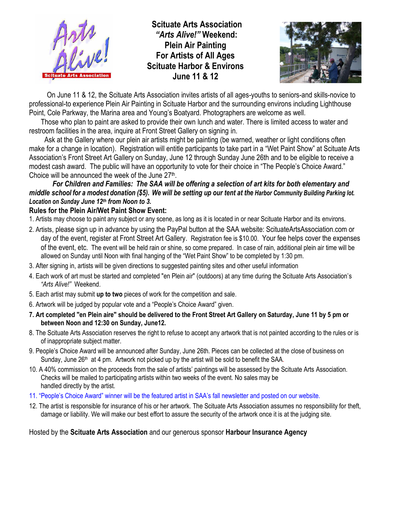

**Scituate Arts Association** *"Arts Alive!"* **Weekend: Plein Air Painting For Artists of All Ages Scituate Harbor & Environs June 11 & 12**



On June 11 & 12, the Scituate Arts Association invites artists of all ages-youths to seniors-and skills-novice to professional-to experience Plein Air Painting in Scituate Harbor and the surrounding environs including Lighthouse Point, Cole Parkway, the Marina area and Young's Boatyard. Photographers are welcome as well.

Those who plan to paint are asked to provide their own lunch and water. There is limited access to water and restroom facilities in the area, inquire at Front Street Gallery on signing in.

Ask at the Gallery where our plein air artists might be painting (be warned, weather or light conditions often make for a change in location). Registration will entitle participants to take part in a "Wet Paint Show" at Scituate Arts Association's Front Street Art Gallery on Sunday, June 12 through Sunday June 26th and to be eligible to receive a modest cash award. The public will have an opportunity to vote for their choice in "The People's Choice Award." Choice will be announced the week of the June 27<sup>th</sup>.

## *For Children and Families: The SAA will be offering a selection of art kits for both elementary and middle school for a modest donation (\$5). We will be setting up our tent at the Harbor Community Building Parking lot. Location on Sunday June 12th from Noon to 3.*

## **Rules for the Plein Air/Wet Paint Show Event:**

- 1. Artists may choose to paint any subject or any scene, as long as it is located in or near Scituate Harbor and its environs.
- 2. Artists, please sign up in advance by using the PayPal button at the SAA website: ScituateArtsAssociation.com or day of the event, register at Front Street Art Gallery. Registration fee is \$10.00. Your fee helps cover the expenses of the event, etc. The event will be held rain or shine, so come prepared. In case of rain, additional plein air time will be allowed on Sunday until Noon with final hanging of the "Wet Paint Show" to be completed by 1:30 pm.
- 3. After signing in, artists will be given directions to suggested painting sites and other useful information
- 4. Each work of art must be started and completed "en Plein air" (outdoors) at any time during the Scituate Arts Association's *"Arts Alive!"* Weekend.
- 5. Each artist may submit **up to two** pieces of work for the competition and sale.
- 6. Artwork will be judged by popular vote and a "People's Choice Award" given.
- **7. Art completed "en Plein aire" should be delivered to the Front Street Art Gallery on Saturday, June 11 by 5 pm or between Noon and 12:30 on Sunday, June12.**
- 8. The Scituate Arts Association reserves the right to refuse to accept any artwork that is not painted according to the rules or is of inappropriate subject matter.
- 9. People's Choice Award will be announced after Sunday, June 26th. Pieces can be collected at the close of business on Sunday, June 26<sup>th</sup> at 4 pm. Artwork not picked up by the artist will be sold to benefit the SAA.
- 10. A 40% commission on the proceeds from the sale of artists' paintings will be assessed by the Scituate Arts Association. Checks will be mailed to participating artists within two weeks of the event. No sales may be handled directly by the artist.
- 11. "People's Choice Award" winner will be the featured artist in SAA's fall newsletter and posted on our website.
- 12. The artist is responsible for insurance of his or her artwork. The Scituate Arts Association assumes no responsibility for theft, damage or liability. We will make our best effort to assure the security of the artwork once it is at the judging site*.*

## Hosted by the **Scituate Arts Association** and our generous sponsor **Harbour Insurance Agency**